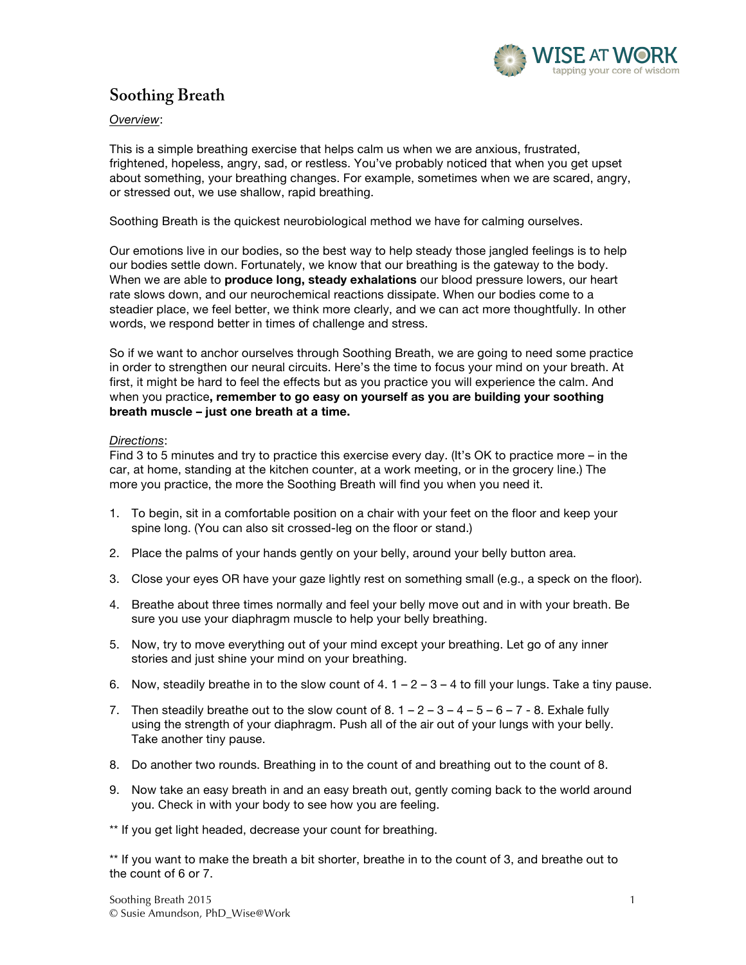

# **Soothing Breath**

*Overview*:

This is a simple breathing exercise that helps calm us when we are anxious, frustrated, frightened, hopeless, angry, sad, or restless. You've probably noticed that when you get upset about something, your breathing changes. For example, sometimes when we are scared, angry, or stressed out, we use shallow, rapid breathing.

Soothing Breath is the quickest neurobiological method we have for calming ourselves.

Our emotions live in our bodies, so the best way to help steady those jangled feelings is to help our bodies settle down. Fortunately, we know that our breathing is the gateway to the body. When we are able to **produce long, steady exhalations** our blood pressure lowers, our heart rate slows down, and our neurochemical reactions dissipate. When our bodies come to a steadier place, we feel better, we think more clearly, and we can act more thoughtfully. In other words, we respond better in times of challenge and stress.

So if we want to anchor ourselves through Soothing Breath, we are going to need some practice in order to strengthen our neural circuits. Here's the time to focus your mind on your breath. At first, it might be hard to feel the effects but as you practice you will experience the calm. And when you practice**, remember to go easy on yourself as you are building your soothing breath muscle – just one breath at a time.**

### *Directions*:

Find 3 to 5 minutes and try to practice this exercise every day. (It's OK to practice more – in the car, at home, standing at the kitchen counter, at a work meeting, or in the grocery line.) The more you practice, the more the Soothing Breath will find you when you need it.

- 1. To begin, sit in a comfortable position on a chair with your feet on the floor and keep your spine long. (You can also sit crossed-leg on the floor or stand.)
- 2. Place the palms of your hands gently on your belly, around your belly button area.
- 3. Close your eyes OR have your gaze lightly rest on something small (e.g., a speck on the floor).
- 4. Breathe about three times normally and feel your belly move out and in with your breath. Be sure you use your diaphragm muscle to help your belly breathing.
- 5. Now, try to move everything out of your mind except your breathing. Let go of any inner stories and just shine your mind on your breathing.
- 6. Now, steadily breathe in to the slow count of  $4. 1 2 3 4$  to fill your lungs. Take a tiny pause.
- 7. Then steadily breathe out to the slow count of 8.  $1 2 3 4 5 6 7 8$ . Exhale fully using the strength of your diaphragm. Push all of the air out of your lungs with your belly. Take another tiny pause.
- 8. Do another two rounds. Breathing in to the count of and breathing out to the count of 8.
- 9. Now take an easy breath in and an easy breath out, gently coming back to the world around you. Check in with your body to see how you are feeling.

\*\* If you get light headed, decrease your count for breathing.

\*\* If you want to make the breath a bit shorter, breathe in to the count of 3, and breathe out to the count of 6 or 7.